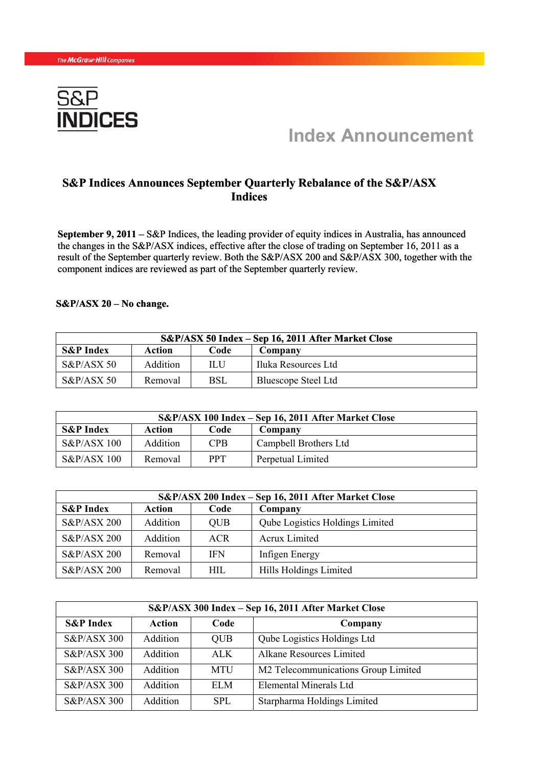

## **INDICES** Index Announcement

## **S&P Indices Announces September Quarterly Rebalance of the S&P/ASX Indices**

**September 9, 2011 –** S&P Indices, the leading provider of equity indices in Australia, has announced the changes in the S&P/ASX indices, effective after the close of trading on September 16, 2011 as a result of the September quarterly review. Both the S&P/ASX 200 and S&P/ASX 300, together with the component indices are reviewed as part of the September quarterly review.

## **S&P/ASX 20 – No change.**

| S&P/ASX 50 Index - Sep 16, 2011 After Market Close |          |     |                     |  |
|----------------------------------------------------|----------|-----|---------------------|--|
| <b>S&amp;P</b> Index<br>Code<br>Action<br>Company  |          |     |                     |  |
| $S\&P/ASX$ 50                                      | Addition | НIJ | Iluka Resources Ltd |  |
| $S\&P/ASX$ 50                                      | Removal  | BSL | Bluescope Steel Ltd |  |

| S&P/ASX 100 Index – Sep 16, 2011 After Market Close |                 |            |                       |
|-----------------------------------------------------|-----------------|------------|-----------------------|
| <b>S&amp;P</b> Index<br>Code<br>Action<br>Company   |                 |            |                       |
| $S\&P/ASX$ 100                                      | <b>Addition</b> | <b>CPB</b> | Campbell Brothers Ltd |
| $S\&P/ASX$ 100                                      | Removal         | PPT        | Perpetual Limited     |

| S&P/ASX 200 Index – Sep 16, 2011 After Market Close |          |            |                                 |  |
|-----------------------------------------------------|----------|------------|---------------------------------|--|
| <b>S&amp;P</b> Index                                | Action   | Code       | Company                         |  |
| <b>S&amp;P/ASX 200</b>                              | Addition | <b>QUB</b> | Qube Logistics Holdings Limited |  |
| <b>S&amp;P/ASX 200</b>                              | Addition | <b>ACR</b> | <b>Acrux Limited</b>            |  |
| <b>S&amp;P/ASX 200</b>                              | Removal  | <b>IFN</b> | Infigen Energy                  |  |
| <b>S&amp;P/ASX 200</b>                              | Removal  | HIL.       | Hills Holdings Limited          |  |

| S&P/ASX 300 Index - Sep 16, 2011 After Market Close |               |            |                                     |  |
|-----------------------------------------------------|---------------|------------|-------------------------------------|--|
| <b>S&amp;P</b> Index                                | <b>Action</b> | Code       | Company                             |  |
| <b>S&amp;P/ASX 300</b>                              | Addition      | <b>QUB</b> | <b>Qube Logistics Holdings Ltd</b>  |  |
| <b>S&amp;P/ASX 300</b>                              | Addition      | <b>ALK</b> | Alkane Resources Limited            |  |
| $S\&P/ASX$ 300                                      | Addition      | <b>MTU</b> | M2 Telecommunications Group Limited |  |
| <b>S&amp;P/ASX 300</b>                              | Addition      | <b>ELM</b> | Elemental Minerals Ltd              |  |
| <b>S&amp;P/ASX 300</b>                              | Addition      | <b>SPL</b> | Starpharma Holdings Limited         |  |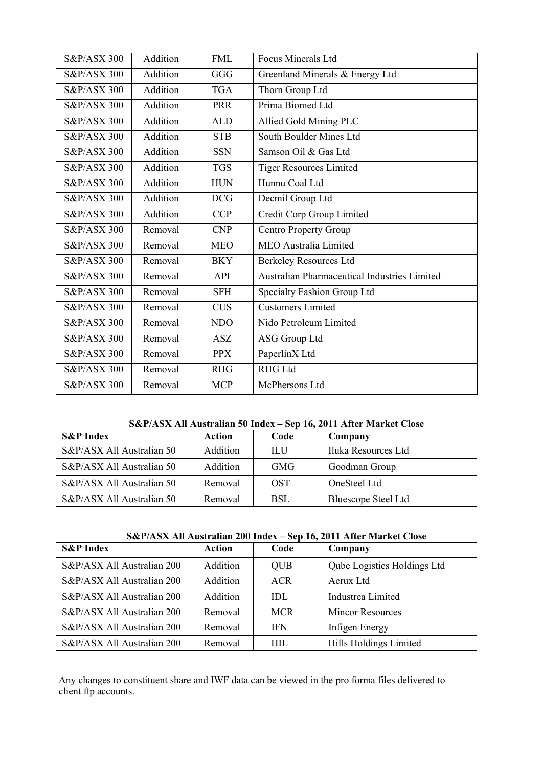| <b>S&amp;P/ASX 300</b> | Addition | <b>FML</b> | <b>Focus Minerals Ltd</b>                    |
|------------------------|----------|------------|----------------------------------------------|
| <b>S&amp;P/ASX 300</b> | Addition | GGG        | Greenland Minerals & Energy Ltd              |
| <b>S&amp;P/ASX 300</b> | Addition | <b>TGA</b> | Thorn Group Ltd                              |
| <b>S&amp;P/ASX 300</b> | Addition | <b>PRR</b> | Prima Biomed Ltd                             |
| <b>S&amp;P/ASX 300</b> | Addition | <b>ALD</b> | Allied Gold Mining PLC                       |
| <b>S&amp;P/ASX 300</b> | Addition | <b>STB</b> | South Boulder Mines Ltd                      |
| <b>S&amp;P/ASX 300</b> | Addition | <b>SSN</b> | Samson Oil & Gas Ltd                         |
| <b>S&amp;P/ASX 300</b> | Addition | <b>TGS</b> | <b>Tiger Resources Limited</b>               |
| <b>S&amp;P/ASX 300</b> | Addition | <b>HUN</b> | Hunnu Coal Ltd                               |
| <b>S&amp;P/ASX 300</b> | Addition | <b>DCG</b> | Decmil Group Ltd                             |
| <b>S&amp;P/ASX 300</b> | Addition | <b>CCP</b> | Credit Corp Group Limited                    |
| <b>S&amp;P/ASX 300</b> | Removal  | <b>CNP</b> | <b>Centro Property Group</b>                 |
| <b>S&amp;P/ASX 300</b> | Removal  | <b>MEO</b> | MEO Australia Limited                        |
| <b>S&amp;P/ASX 300</b> | Removal  | <b>BKY</b> | <b>Berkeley Resources Ltd</b>                |
| <b>S&amp;P/ASX 300</b> | Removal  | <b>API</b> | Australian Pharmaceutical Industries Limited |
| <b>S&amp;P/ASX 300</b> | Removal  | <b>SFH</b> | Specialty Fashion Group Ltd                  |
| <b>S&amp;P/ASX 300</b> | Removal  | <b>CUS</b> | <b>Customers Limited</b>                     |
| <b>S&amp;P/ASX 300</b> | Removal  | NDO        | Nido Petroleum Limited                       |
| <b>S&amp;P/ASX 300</b> | Removal  | <b>ASZ</b> | ASG Group Ltd                                |
| <b>S&amp;P/ASX 300</b> | Removal  | <b>PPX</b> | PaperlinX Ltd                                |
| <b>S&amp;P/ASX 300</b> | Removal  | <b>RHG</b> | <b>RHG Ltd</b>                               |
| <b>S&amp;P/ASX 300</b> | Removal  | <b>MCP</b> | McPhersons Ltd                               |

| S&P/ASX All Australian 50 Index – Sep 16, 2011 After Market Close |          |            |                            |  |
|-------------------------------------------------------------------|----------|------------|----------------------------|--|
| <b>S&amp;P</b> Index                                              | Action   | Code       | Company                    |  |
| S&P/ASX All Australian 50                                         | Addition | ШU         | Iluka Resources Ltd        |  |
| S&P/ASX All Australian 50                                         | Addition | <b>GMG</b> | Goodman Group              |  |
| S&P/ASX All Australian 50                                         | Removal  | OST        | OneSteel Ltd               |  |
| S&P/ASX All Australian 50                                         | Removal  | BSL        | <b>Bluescope Steel Ltd</b> |  |

| S&P/ASX All Australian 200 Index - Sep 16, 2011 After Market Close |          |            |                             |  |
|--------------------------------------------------------------------|----------|------------|-----------------------------|--|
| <b>S&amp;P</b> Index                                               | Action   | Code       | Company                     |  |
| S&P/ASX All Australian 200                                         | Addition | <b>QUB</b> | Qube Logistics Holdings Ltd |  |
| S&P/ASX All Australian 200                                         | Addition | <b>ACR</b> | Acrux Ltd                   |  |
| S&P/ASX All Australian 200                                         | Addition | <b>IDL</b> | Industrea Limited           |  |
| S&P/ASX All Australian 200                                         | Removal  | <b>MCR</b> | <b>Mincor Resources</b>     |  |
| S&P/ASX All Australian 200                                         | Removal  | <b>IFN</b> | Infigen Energy              |  |
| S&P/ASX All Australian 200                                         | Removal  | HIL.       | Hills Holdings Limited      |  |

Any changes to constituent share and IWF data can be viewed in the pro forma files delivered to client ftp accounts.